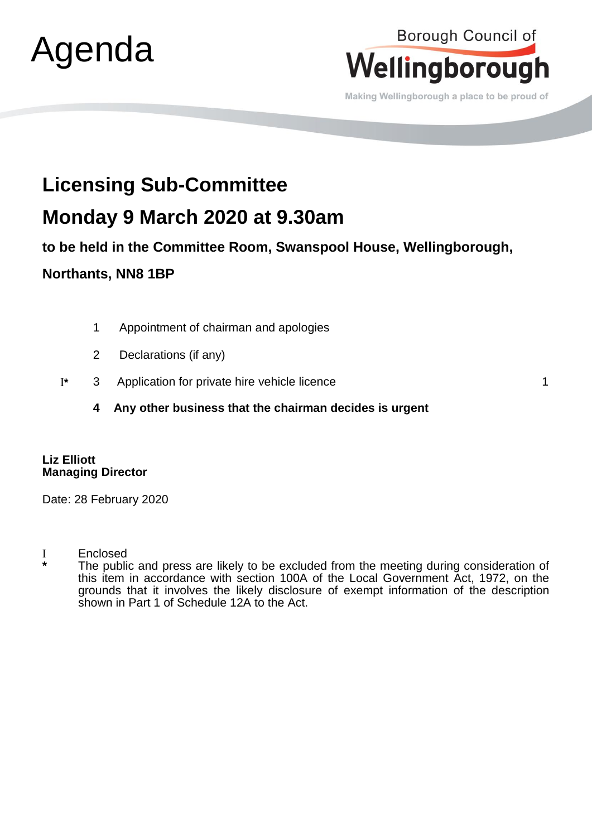

## Borough Council of Wellingborough

Making Wellingborough a place to be proud of

# **Licensing Sub-Committee**

## **Monday 9 March 2020 at 9.30am**

**to be held in the Committee Room, Swanspool House, Wellingborough,** 

### **Northants, NN8 1BP**

- 1 Appointment of chairman and apologies
- 2 Declarations (if any)
- **\*** 3 Application for private hire vehicle licence 1
	- **4 Any other business that the chairman decides is urgent**

#### **Liz Elliott Managing Director**

Date: 28 February 2020

Enclosed

**\*** The public and press are likely to be excluded from the meeting during consideration of this item in accordance with section 100A of the Local Government Act, 1972, on the grounds that it involves the likely disclosure of exempt information of the description shown in Part 1 of Schedule 12A to the Act.